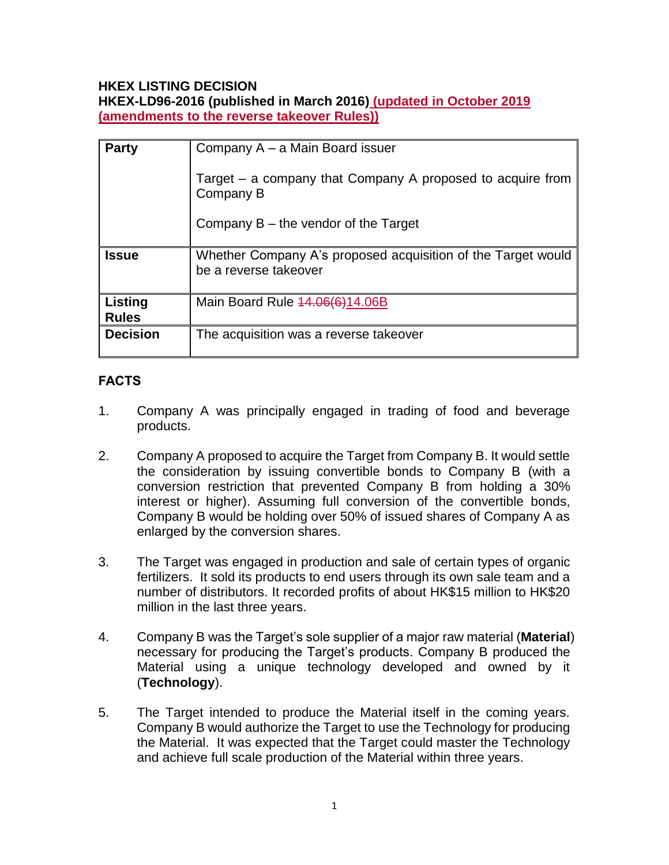### **HKEX LISTING DECISION**

**HKEX-LD96-2016 (published in March 2016) (updated in October 2019 (amendments to the reverse takeover Rules))**

| <b>Party</b>            | Company A – a Main Board issuer                                                       |
|-------------------------|---------------------------------------------------------------------------------------|
|                         | Target – a company that Company A proposed to acquire from<br>Company B               |
|                         | Company $B$ – the vendor of the Target                                                |
| <b>Issue</b>            | Whether Company A's proposed acquisition of the Target would<br>be a reverse takeover |
| Listing<br><b>Rules</b> | Main Board Rule 44.06(6)14.06B                                                        |
| <b>Decision</b>         | The acquisition was a reverse takeover                                                |

## **FACTS**

- 1. Company A was principally engaged in trading of food and beverage products.
- 2. Company A proposed to acquire the Target from Company B. It would settle the consideration by issuing convertible bonds to Company B (with a conversion restriction that prevented Company B from holding a 30% interest or higher). Assuming full conversion of the convertible bonds, Company B would be holding over 50% of issued shares of Company A as enlarged by the conversion shares.
- 3. The Target was engaged in production and sale of certain types of organic fertilizers. It sold its products to end users through its own sale team and a number of distributors. It recorded profits of about HK\$15 million to HK\$20 million in the last three years.
- 4. Company B was the Target's sole supplier of a major raw material (**Material**) necessary for producing the Target's products. Company B produced the Material using a unique technology developed and owned by it (**Technology**).
- 5. The Target intended to produce the Material itself in the coming years. Company B would authorize the Target to use the Technology for producing the Material. It was expected that the Target could master the Technology and achieve full scale production of the Material within three years.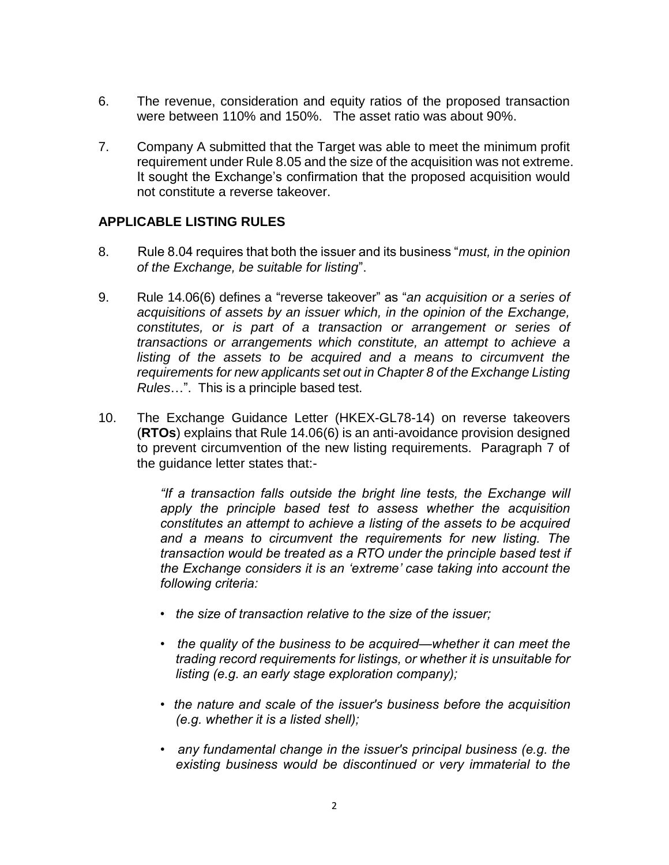- 6. The revenue, consideration and equity ratios of the proposed transaction were between 110% and 150%. The asset ratio was about 90%.
- 7. Company A submitted that the Target was able to meet the minimum profit requirement under Rule 8.05 and the size of the acquisition was not extreme. It sought the Exchange's confirmation that the proposed acquisition would not constitute a reverse takeover.

#### **APPLICABLE LISTING RULES**

- 8. Rule 8.04 requires that both the issuer and its business "*must, in the opinion of the Exchange, be suitable for listing*".
- 9. Rule 14.06(6) defines a "reverse takeover" as "*an acquisition or a series of acquisitions of assets by an issuer which, in the opinion of the Exchange, constitutes, or is part of a transaction or arrangement or series of transactions or arrangements which constitute, an attempt to achieve a*  listing of the assets to be acquired and a means to circumvent the *requirements for new applicants set out in Chapter 8 of the Exchange Listing Rules*…". This is a principle based test.
- 10. The Exchange Guidance Letter (HKEX-GL78-14) on reverse takeovers (**RTOs**) explains that Rule 14.06(6) is an anti-avoidance provision designed to prevent circumvention of the new listing requirements. Paragraph 7 of the guidance letter states that:-

*"If a transaction falls outside the bright line tests, the Exchange will apply the principle based test to assess whether the acquisition constitutes an attempt to achieve a listing of the assets to be acquired and a means to circumvent the requirements for new listing. The transaction would be treated as a RTO under the principle based test if the Exchange considers it is an 'extreme' case taking into account the following criteria:* 

- *the size of transaction relative to the size of the issuer;*
- *the quality of the business to be acquired—whether it can meet the trading record requirements for listings, or whether it is unsuitable for listing (e.g. an early stage exploration company);*
- *the nature and scale of the issuer's business before the acquisition (e.g. whether it is a listed shell);*
- *any fundamental change in the issuer's principal business (e.g. the existing business would be discontinued or very immaterial to the*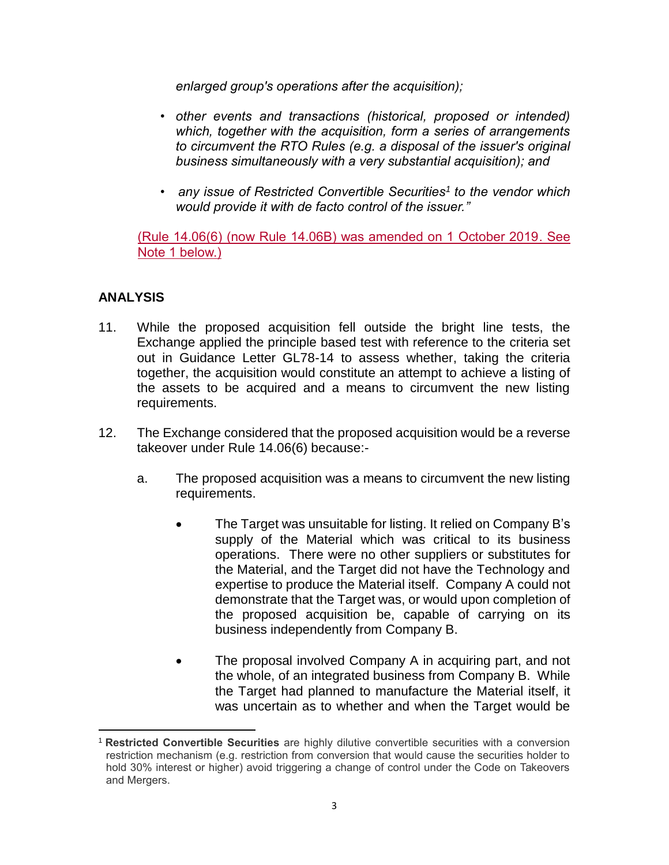*enlarged group's operations after the acquisition);* 

- *other events and transactions (historical, proposed or intended) which, together with the acquisition, form a series of arrangements to circumvent the RTO Rules (e.g. a disposal of the issuer's original business simultaneously with a very substantial acquisition); and*
- *any issue of Restricted Convertible Securities<sup>1</sup> to the vendor which would provide it with de facto control of the issuer."*

(Rule 14.06(6) (now Rule 14.06B) was amended on 1 October 2019. See Note 1 below.)

### **ANALYSIS**

- 11. While the proposed acquisition fell outside the bright line tests, the Exchange applied the principle based test with reference to the criteria set out in Guidance Letter GL78-14 to assess whether, taking the criteria together, the acquisition would constitute an attempt to achieve a listing of the assets to be acquired and a means to circumvent the new listing requirements.
- 12. The Exchange considered that the proposed acquisition would be a reverse takeover under Rule 14.06(6) because:
	- a. The proposed acquisition was a means to circumvent the new listing requirements.
		- The Target was unsuitable for listing. It relied on Company B's supply of the Material which was critical to its business operations. There were no other suppliers or substitutes for the Material, and the Target did not have the Technology and expertise to produce the Material itself. Company A could not demonstrate that the Target was, or would upon completion of the proposed acquisition be, capable of carrying on its business independently from Company B.
		- The proposal involved Company A in acquiring part, and not the whole, of an integrated business from Company B. While the Target had planned to manufacture the Material itself, it was uncertain as to whether and when the Target would be

 $\overline{a}$ <sup>1</sup> **Restricted Convertible Securities** are highly dilutive convertible securities with a conversion restriction mechanism (e.g. restriction from conversion that would cause the securities holder to hold 30% interest or higher) avoid triggering a change of control under the Code on Takeovers and Mergers.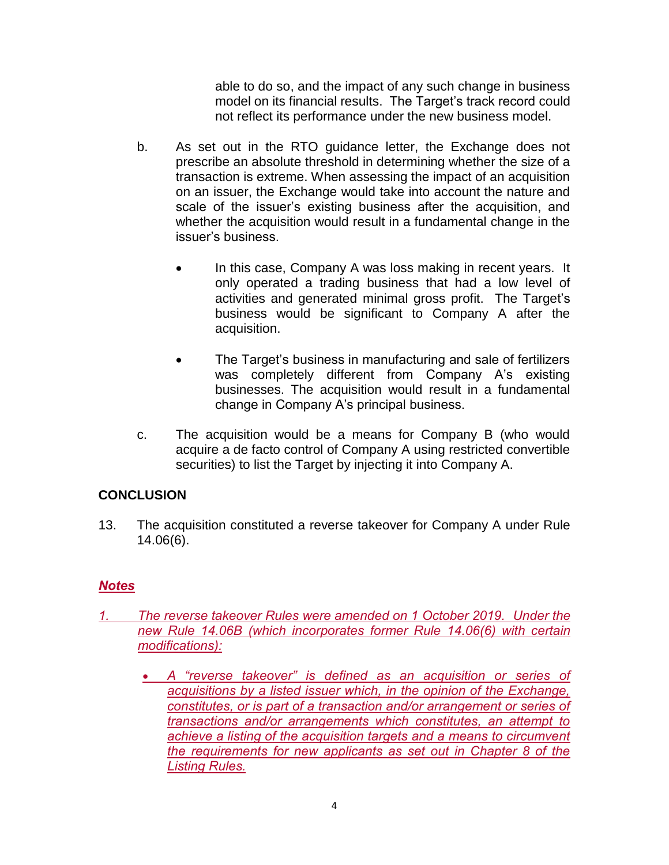able to do so, and the impact of any such change in business model on its financial results. The Target's track record could not reflect its performance under the new business model.

- b. As set out in the RTO guidance letter, the Exchange does not prescribe an absolute threshold in determining whether the size of a transaction is extreme. When assessing the impact of an acquisition on an issuer, the Exchange would take into account the nature and scale of the issuer's existing business after the acquisition, and whether the acquisition would result in a fundamental change in the issuer's business.
	- In this case, Company A was loss making in recent years. It only operated a trading business that had a low level of activities and generated minimal gross profit. The Target's business would be significant to Company A after the acquisition.
	- The Target's business in manufacturing and sale of fertilizers was completely different from Company A's existing businesses. The acquisition would result in a fundamental change in Company A's principal business.
- c. The acquisition would be a means for Company B (who would acquire a de facto control of Company A using restricted convertible securities) to list the Target by injecting it into Company A.

### **CONCLUSION**

13. The acquisition constituted a reverse takeover for Company A under Rule 14.06(6).

# *Notes*

- *1. The reverse takeover Rules were amended on 1 October 2019. Under the new Rule 14.06B (which incorporates former Rule 14.06(6) with certain modifications):*
	- *A "reverse takeover" is defined as an acquisition or series of acquisitions by a listed issuer which, in the opinion of the Exchange, constitutes, or is part of a transaction and/or arrangement or series of transactions and/or arrangements which constitutes, an attempt to achieve a listing of the acquisition targets and a means to circumvent the requirements for new applicants as set out in Chapter 8 of the Listing Rules.*